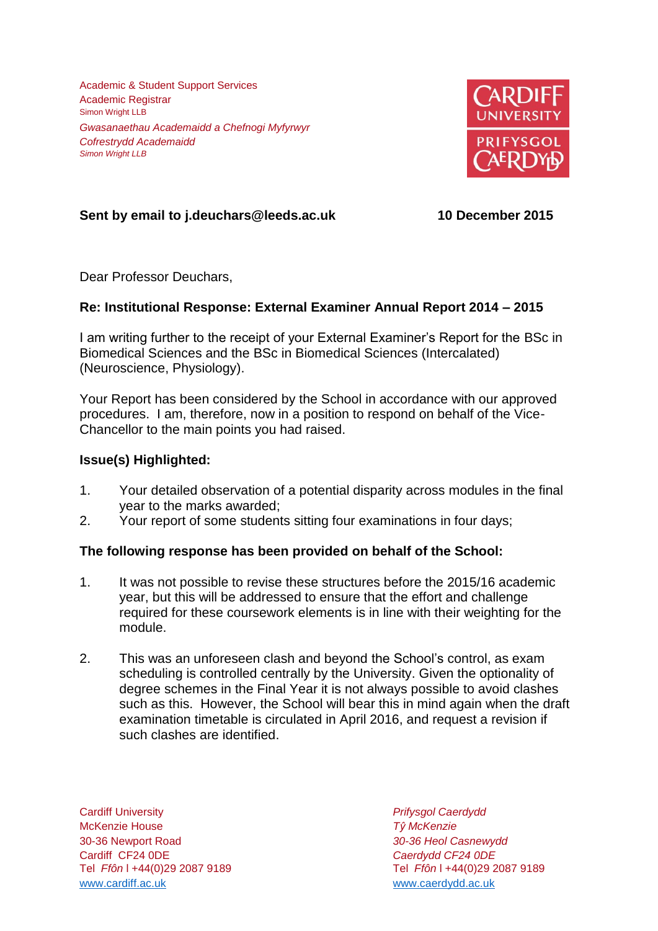Academic & Student Support Services Academic Registrar Simon Wright LLB *Gwasanaethau Academaidd a Chefnogi Myfyrwyr Cofrestrydd Academaidd Simon Wright LLB*



# **Sent by email to j.deuchars@leeds.ac.uk 10 December 2015**

Dear Professor Deuchars,

## **Re: Institutional Response: External Examiner Annual Report 2014 – 2015**

I am writing further to the receipt of your External Examiner's Report for the BSc in Biomedical Sciences and the BSc in Biomedical Sciences (Intercalated) (Neuroscience, Physiology).

Your Report has been considered by the School in accordance with our approved procedures. I am, therefore, now in a position to respond on behalf of the Vice-Chancellor to the main points you had raised.

### **Issue(s) Highlighted:**

- 1. Your detailed observation of a potential disparity across modules in the final year to the marks awarded;
- 2. Your report of some students sitting four examinations in four days;

## **The following response has been provided on behalf of the School:**

- 1. It was not possible to revise these structures before the 2015/16 academic year, but this will be addressed to ensure that the effort and challenge required for these coursework elements is in line with their weighting for the module.
- 2. This was an unforeseen clash and beyond the School's control, as exam scheduling is controlled centrally by the University. Given the optionality of degree schemes in the Final Year it is not always possible to avoid clashes such as this. However, the School will bear this in mind again when the draft examination timetable is circulated in April 2016, and request a revision if such clashes are identified.

Cardiff University *Prifysgol Caerdydd* McKenzie House *Tŷ McKenzie* 30-36 Newport Road *30-36 Heol Casnewydd* Tel *Ffôn* l +44(0)29 2087 9189 Tel *Ffôn* l +44(0)29 2087 9189 [www.cardiff.ac.uk](http://www.cardiff.ac.uk/) www.cardiff.ac.uk

Cardiff CF24 0DE *Caerdydd CF24 0DE*